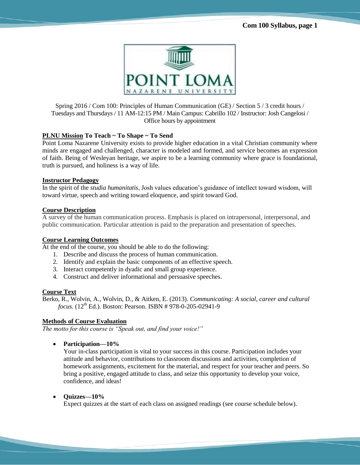

Spring 2016 / Com 100: Principles of Human Communication (GE) / Section 5 / 3 credit hours / Tuesdays and Thursdays / 11 AM-12:15 PM / Main Campus: Cabrillo 102 / Instructor: Josh Cangelosi / Office hours by appointment

# **PLNU Mission To Teach ~ To Shape ~ To Send**

Point Loma Nazarene University exists to provide higher education in a vital Christian community where minds are engaged and challenged, character is modeled and formed, and service becomes an expression of faith. Being of Wesleyan heritage, we aspire to be a learning community where grace is foundational, truth is pursued, and holiness is a way of life.

# **Instructor Pedagogy**

In the spirit of the *studia humanitatis*, Josh values education's guidance of intellect toward wisdom, will toward virtue, speech and writing toward eloquence, and spirit toward God.

# **Course Description**

A survey of the human communication process. Emphasis is placed on intrapersonal, interpersonal, and public communication. Particular attention is paid to the preparation and presentation of speeches.

# **Course Learning Outcomes**

At the end of the course, you should be able to do the following:

- 1. Describe and discuss the process of human communication.
- 2. Identify and explain the basic components of an effective speech.
- 3. Interact competently in dyadic and small group experience.
- 4. Construct and deliver informational and persuasive speeches.

# **Course Text**

Berko, R., Wolvin, A., Wolvin, D., & Aitken, E. (2013). *Communicating: A social, career and cultural focus.* (12<sup>th</sup> Ed.). Boston: Pearson. ISBN # 978-0-205-02941-9

# **Methods of Course Evaluation**

*The motto for this course is "Speak out, and find your voice!"*

**Participation—10%** 

Your in-class participation is vital to your success in this course. Participation includes your attitude and behavior, contributions to classroom discussions and activities, completion of homework assignments, excitement for the material, and respect for your teacher and peers. So bring a positive, engaged attitude to class, and seize this opportunity to develop your voice, confidence, and ideas!

**Quizzes—10%** 

Expect quizzes at the start of each class on assigned readings (see course schedule below).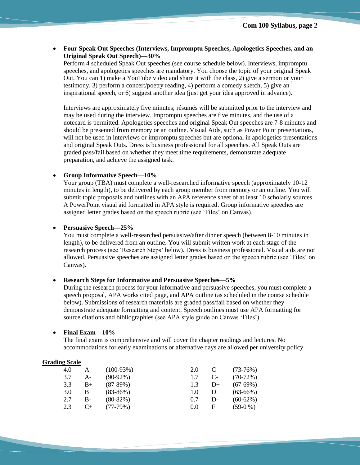**Four Speak Out Speeches (Interviews, Impromptu Speeches, Apologetics Speeches, and an Original Speak Out Speech)—30%** 

Perform 4 scheduled Speak Out speeches (see course schedule below). Interviews, impromptu speeches, and apologetics speeches are mandatory. You choose the topic of your original Speak Out. You can 1) make a YouTube video and share it with the class, 2) give a sermon or your testimony, 3) perform a concert/poetry reading, 4) perform a comedy sketch, 5) give an inspirational speech, or 6) suggest another idea (just get your idea approved in advance).

Interviews are approximately five minutes; résumés will be submitted prior to the interview and may be used during the interview. Impromptu speeches are five minutes, and the use of a notecard is permitted. Apologetics speeches and original Speak Out speeches are 7-8 minutes and should be presented from memory or an outline. Visual Aids, such as Power Point presentations, will not be used in interviews or impromptu speeches but are optional in apologetics presentations and original Speak Outs. Dress is business professional for all speeches. All Speak Outs are graded pass/fail based on whether they meet time requirements, demonstrate adequate preparation, and achieve the assigned task.

## **Group Informative Speech—10%**

Your group (TBA) must complete a well-researched informative speech (approximately 10-12 minutes in length), to be delivered by each group member from memory or an outline. You will submit topic proposals and outlines with an APA reference sheet of at least 10 scholarly sources. A PowerPoint visual aid formatted in APA style is required. Group informative speeches are assigned letter grades based on the speech rubric (see 'Files' on Canvas).

#### **Persuasive Speech—25%**

You must complete a well-researched persuasive/after dinner speech (between 8-10 minutes in length), to be delivered from an outline. You will submit written work at each stage of the research process (see 'Research Steps' below). Dress is business professional. Visual aids are not allowed. Persuasive speeches are assigned letter grades based on the speech rubric (see 'Files' on Canvas).

#### **Research Steps for Informative and Persuasive Speeches—5%**

During the research process for your informative and persuasive speeches, you must complete a speech proposal, APA works cited page, and APA outline (as scheduled in the course schedule below). Submissions of research materials are graded pass/fail based on whether they demonstrate adequate formatting and content. Speech outlines must use APA formatting for source citations and bibliographies (see APA style guide on Canvas 'Files').

# **Final Exam—10%**

The final exam is comprehensive and will cover the chapter readings and lectures. No accommodations for early examinations or alternative days are allowed per university policy.

## **Grading Scale**

| 4.0 | А         | $(100-93%)$ | 2.0 |                      | $(73-76%)$ |
|-----|-----------|-------------|-----|----------------------|------------|
| 3.7 | $A -$     | $(90-92\%)$ | 1.7 | $\mathsf{C}\text{-}$ | $(70-72%)$ |
| 3.3 | $B+$      | $(87-89%)$  | 1.3 | $D+$                 | $(67-69%)$ |
| 3.0 | В         | $(83-86%)$  | 1.0 | Ð                    | $(63-66%)$ |
| 2.7 | В-        | $(80-82%)$  | 0.7 | D-                   | $(60-62%)$ |
| 2.3 | $C_{\pm}$ | $(77-79%)$  | 0.0 | F                    | $(59-0\%)$ |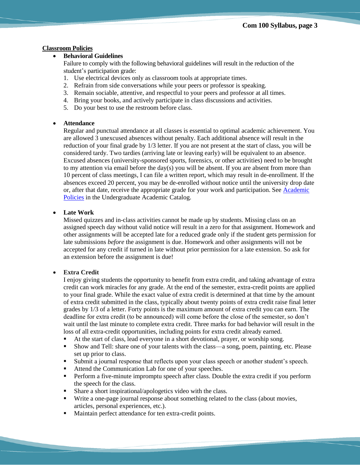### **Classroom Policies**

# **Behavioral Guidelines**

Failure to comply with the following behavioral guidelines will result in the reduction of the student's participation grade:

- 1. Use electrical devices only as classroom tools at appropriate times.
- 2. Refrain from side conversations while your peers or professor is speaking.
- 3. Remain sociable, attentive, and respectful to your peers and professor at all times.
- 4. Bring your books, and actively participate in class discussions and activities.
- 5. Do your best to use the restroom before class.

#### **Attendance**

Regular and punctual attendance at all classes is essential to optimal academic achievement. You are allowed 3 unexcused absences without penalty. Each additional absence will result in the reduction of your final grade by 1/3 letter. If you are not present at the start of class, you will be considered tardy. Two tardies (arriving late or leaving early) will be equivalent to an absence. Excused absences (university-sponsored sports, forensics, or other activities) need to be brought to my attention via email before the day(s) you will be absent. If you are absent from more than 10 percent of class meetings, I can file a written report, which may result in de-enrollment. If the absences exceed 20 percent, you may be de-enrolled without notice until the university drop date or, after that date, receive the appropriate grade for your work and participation. See [Academic](http://catalog.pointloma.edu/content.php?catoid=18&navoid=1278)  [Policies](http://catalog.pointloma.edu/content.php?catoid=18&navoid=1278) in the Undergraduate Academic Catalog.

#### **Late Work**

Missed quizzes and in-class activities cannot be made up by students. Missing class on an assigned speech day without valid notice will result in a zero for that assignment. Homework and other assignments will be accepted late for a reduced grade only if the student gets permission for late submissions *before* the assignment is due. Homework and other assignments will not be accepted for any credit if turned in late without prior permission for a late extension. So ask for an extension before the assignment is due!

#### **Extra Credit**

I enjoy giving students the opportunity to benefit from extra credit, and taking advantage of extra credit can work miracles for any grade. At the end of the semester, extra-credit points are applied to your final grade. While the exact value of extra credit is determined at that time by the amount of extra credit submitted in the class, typically about twenty points of extra credit raise final letter grades by 1/3 of a letter. Forty points is the maximum amount of extra credit you can earn. The deadline for extra credit (to be announced) will come before the close of the semester, so don't wait until the last minute to complete extra credit. Three marks for bad behavior will result in the loss of all extra-credit opportunities, including points for extra credit already earned.

- At the start of class, lead everyone in a short devotional, prayer, or worship song.
- Show and Tell: share one of your talents with the class—a song, poem, painting, etc. Please set up prior to class.
- Submit a journal response that reflects upon your class speech or another student's speech.
- Attend the Communication Lab for one of your speeches.
- Perform a five-minute impromptu speech after class. Double the extra credit if you perform the speech for the class.
- Share a short inspirational/apologetics video with the class.
- Write a one-page journal response about something related to the class (about movies, articles, personal experiences, etc.).
- **Maintain perfect attendance for ten extra-credit points.**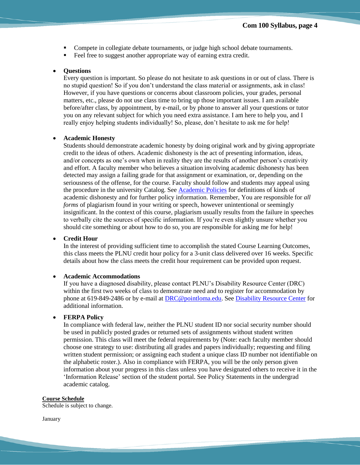- Compete in collegiate debate tournaments, or judge high school debate tournaments.
- Feel free to suggest another appropriate way of earning extra credit.

#### **Questions**

Every question is important. So please do not hesitate to ask questions in or out of class. There is no stupid question! So if you don't understand the class material or assignments, ask in class! However, if you have questions or concerns about classroom policies, your grades, personal matters, etc., please do not use class time to bring up those important issues. I am available before/after class, by appointment, by e-mail, or by phone to answer all your questions or tutor you on any relevant subject for which you need extra assistance. I am here to help you, and I really enjoy helping students individually! So, please, don't hesitate to ask me for help!

#### **Academic Honesty**

Students should demonstrate academic honesty by doing original work and by giving appropriate credit to the ideas of others. Academic dishonesty is the act of presenting information, ideas, and/or concepts as one's own when in reality they are the results of another person's creativity and effort. A faculty member who believes a situation involving academic dishonesty has been detected may assign a failing grade for that assignment or examination, or, depending on the seriousness of the offense, for the course. Faculty should follow and students may appeal using the procedure in the university Catalog. See [Academic Policies](http://catalog.pointloma.edu/content.php?catoid=18&navoid=1278) for definitions of kinds of academic dishonesty and for further policy information. Remember, You are responsible for *all forms* of plagiarism found in your writing or speech, however unintentional or seemingly insignificant. In the context of this course, plagiarism usually results from the failure in speeches to verbally cite the sources of specific information. If you're even slightly unsure whether you should cite something or about how to do so, you are responsible for asking me for help!

## **Credit Hour**

In the interest of providing sufficient time to accomplish the stated Course Learning Outcomes, this class meets the PLNU credit hour policy for a 3-unit class delivered over 16 weeks. Specific details about how the class meets the credit hour requirement can be provided upon request.

#### **Academic Accommodations**

If you have a diagnosed disability, please contact PLNU's Disability Resource Center (DRC) within the first two weeks of class to demonstrate need and to register for accommodation by phone at 619-849-2486 or by e-mail at [DRC@pointloma.edu.](mailto:DRC@pointloma.edu) Se[e Disability Resource Center](http://www.pointloma.edu/experience/offices/administrative-offices/academic-advising-office/disability-resource-center) for additional information.

### **FERPA Policy**

In compliance with federal law, neither the PLNU student ID nor social security number should be used in publicly posted grades or returned sets of assignments without student written permission. This class will meet the federal requirements by (Note: each faculty member should choose one strategy to use: distributing all grades and papers individually; requesting and filing written student permission; or assigning each student a unique class ID number not identifiable on the alphabetic roster.). Also in compliance with FERPA, you will be the only person given information about your progress in this class unless you have designated others to receive it in the 'Information Release' section of the student portal. See Policy Statements in the undergrad academic catalog.

#### **Course Schedule**

Schedule is subject to change.

January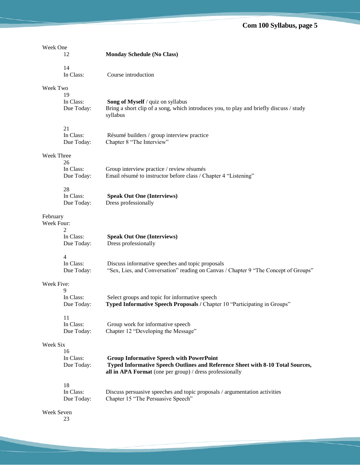| Week One   |                               |                                                                                                                                                                                               |
|------------|-------------------------------|-----------------------------------------------------------------------------------------------------------------------------------------------------------------------------------------------|
|            | 12                            | <b>Monday Schedule (No Class)</b>                                                                                                                                                             |
|            | 14<br>In Class:               | Course introduction                                                                                                                                                                           |
| Week Two   |                               |                                                                                                                                                                                               |
|            | 19<br>In Class:<br>Due Today: | Song of Myself / quiz on syllabus<br>Bring a short clip of a song, which introduces you, to play and briefly discuss / study<br>syllabus                                                      |
|            | 21<br>In Class:<br>Due Today: | Résumé builders / group interview practice<br>Chapter 8 "The Interview"                                                                                                                       |
| Week Three |                               |                                                                                                                                                                                               |
|            | 26<br>In Class:<br>Due Today: | Group interview practice / review résumés<br>Email résumé to instructor before class / Chapter 4 "Listening"                                                                                  |
|            | 28<br>In Class:<br>Due Today: | <b>Speak Out One (Interviews)</b><br>Dress professionally                                                                                                                                     |
| February   |                               |                                                                                                                                                                                               |
| Week Four: | 2                             |                                                                                                                                                                                               |
|            | In Class:<br>Due Today:       | <b>Speak Out One (Interviews)</b><br>Dress professionally                                                                                                                                     |
|            | $\overline{4}$                |                                                                                                                                                                                               |
|            | In Class:<br>Due Today:       | Discuss informative speeches and topic proposals<br>"Sex, Lies, and Conversation" reading on Canvas / Chapter 9 "The Concept of Groups"                                                       |
| Week Five: |                               |                                                                                                                                                                                               |
|            | 9<br>In Class:<br>Due Today:  | Select groups and topic for informative speech<br>Typed Informative Speech Proposals / Chapter 10 "Participating in Groups"                                                                   |
|            | 11<br>In Class:<br>Due Today: | Group work for informative speech<br>Chapter 12 "Developing the Message"                                                                                                                      |
| Week Six   |                               |                                                                                                                                                                                               |
|            | 16<br>In Class:<br>Due Today: | <b>Group Informative Speech with PowerPoint</b><br>Typed Informative Speech Outlines and Reference Sheet with 8-10 Total Sources,<br>all in APA Format (one per group) / dress professionally |
|            | 18<br>In Class:<br>Due Today: | Discuss persuasive speeches and topic proposals / argumentation activities<br>Chapter 15 "The Persuasive Speech"                                                                              |
| Week Seven |                               |                                                                                                                                                                                               |

23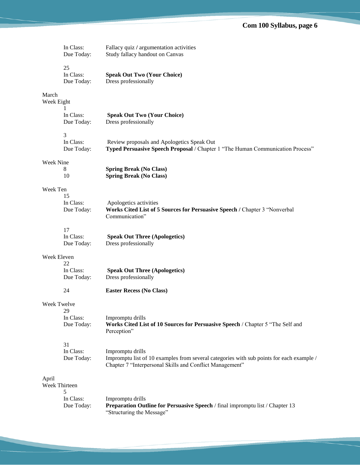|                        | In Class:<br>Due Today:       | Fallacy quiz / argumentation activities<br>Study fallacy handout on Canvas                                                                                               |
|------------------------|-------------------------------|--------------------------------------------------------------------------------------------------------------------------------------------------------------------------|
|                        | 25<br>In Class:<br>Due Today: | <b>Speak Out Two (Your Choice)</b><br>Dress professionally                                                                                                               |
| March<br>Week Eight    | 1                             |                                                                                                                                                                          |
|                        | In Class:<br>Due Today:       | <b>Speak Out Two (Your Choice)</b><br>Dress professionally                                                                                                               |
|                        | 3<br>In Class:<br>Due Today:  | Review proposals and Apologetics Speak Out<br>Typed Persuasive Speech Proposal / Chapter 1 "The Human Communication Process"                                             |
| Week Nine              | 8<br>10                       | <b>Spring Break (No Class)</b><br><b>Spring Break (No Class)</b>                                                                                                         |
| Week Ten               |                               |                                                                                                                                                                          |
|                        | 15<br>In Class:<br>Due Today: | Apologetics activities<br>Works Cited List of 5 Sources for Persuasive Speech / Chapter 3 "Nonverbal<br>Communication"                                                   |
|                        | 17                            |                                                                                                                                                                          |
|                        | In Class:<br>Due Today:       | <b>Speak Out Three (Apologetics)</b><br>Dress professionally                                                                                                             |
| Week Eleven            |                               |                                                                                                                                                                          |
|                        | 22<br>In Class:<br>Due Today: | <b>Speak Out Three (Apologetics)</b><br>Dress professionally                                                                                                             |
|                        | 24                            | <b>Easter Recess (No Class)</b>                                                                                                                                          |
| Week Twelve            |                               |                                                                                                                                                                          |
|                        | 29<br>In Class:<br>Due Today: | Impromptu drills<br>Works Cited List of 10 Sources for Persuasive Speech / Chapter 5 "The Self and<br>Perception"                                                        |
|                        | 31<br>In Class:<br>Due Today: | Impromptu drills<br>Impromptu list of 10 examples from several categories with sub points for each example /<br>Chapter 7 "Interpersonal Skills and Conflict Management" |
| April<br>Week Thirteen | 5                             |                                                                                                                                                                          |
|                        | In Class:<br>Due Today:       | Impromptu drills<br>Preparation Outline for Persuasive Speech / final impromptulist / Chapter 13<br>"Structuring the Message"                                            |